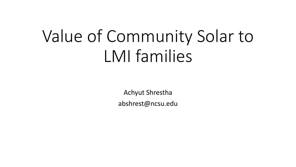# Value of Community Solar to LMI families

Achyut Shrestha

abshrest@ncsu.edu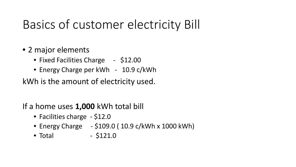### Basics of customer electricity Bill

#### • 2 major elements

- Fixed Facilities Charge \$12.00
- Energy Charge per kWh 10.9 c/kWh

kWh is the amount of electricity used.

#### If a home uses **1,000** kWh total bill

- Facilities charge \$12.0
- Energy Charge \$109.0 (10.9 c/kWh x 1000 kWh)
- Total  $-$  \$121.0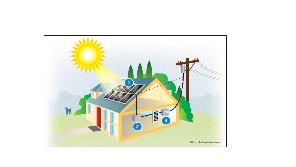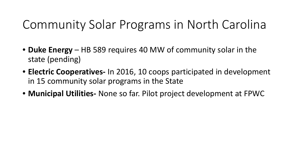#### Community Solar Programs in North Carolina

- **Duke Energy**  HB 589 requires 40 MW of community solar in the state (pending)
- **Electric Cooperatives-** In 2016, 10 coops participated in development in 15 community solar programs in the State
- **Municipal Utilities-** None so far. Pilot project development at FPWC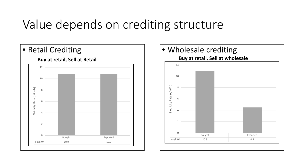#### Value depends on crediting structure



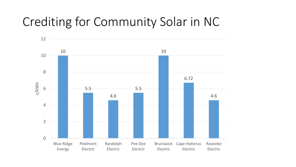#### Crediting for Community Solar in NC

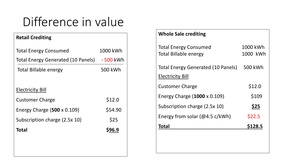## Difference in value

#### **Retail Crediting**

| <b>Total Energy Consumed</b>       | 1000 kWh  |
|------------------------------------|-----------|
| Total Energy Generated (10 Panels) | - 500 kWh |
| <b>Total Billable energy</b>       | 500 kWh   |
|                                    |           |
| <b>Electricity Bill</b>            |           |
| <b>Customer Charge</b>             | \$12.0    |
| Energy Charge $(500 \times 0.109)$ | \$54.90   |
| Subscription charge (2.5x 10)      | \$25      |
| Total                              | \$96.9    |
|                                    |           |
|                                    |           |

| <b>Whole Sale crediting</b>                                   |                      |
|---------------------------------------------------------------|----------------------|
| <b>Total Energy Consumed</b><br><b>Total Billable energy</b>  | 1000 kWh<br>1000 kWh |
| Total Energy Generated (10 Panels)<br><b>Electricity Bill</b> | 500 kWh              |
| <b>Customer Charge</b>                                        | \$12.0               |
| Energy Charge $(1000 \times 0.109)$                           | \$109                |
| Subscription charge (2.5x 10)                                 | \$25                 |
| Energy from solar ( $@4.5$ c/kWh)                             | \$22.5               |
| Total                                                         | \$128.5              |
|                                                               |                      |
|                                                               |                      |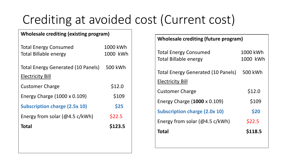## Crediting at avoided cost (Current cost)

#### **Wholesale crediting (existing program)**

| <b>Total Energy Consumed</b><br><b>Total Billable energy</b> | 1000 kWh<br>1000 kWh |
|--------------------------------------------------------------|----------------------|
| Total Energy Generated (10 Panels)                           | 500 kWh              |
| <b>Electricity Bill</b>                                      |                      |
| <b>Customer Charge</b>                                       | \$12.0               |
| Energy Charge (1000 x 0.109)                                 | \$109                |
| <b>Subscription charge (2.5x 10)</b>                         | \$25                 |
| Energy from solar ( $@4.5$ c/kWh)                            | \$22.5               |
| <b>Total</b>                                                 | \$123.5              |
|                                                              |                      |

| <b>Wholesale crediting (future program)</b>                   |                      |  |
|---------------------------------------------------------------|----------------------|--|
| <b>Total Energy Consumed</b><br><b>Total Billable energy</b>  | 1000 kWh<br>1000 kWh |  |
| Total Energy Generated (10 Panels)<br><b>Electricity Bill</b> | 500 kWh              |  |
| <b>Customer Charge</b>                                        | \$12.0               |  |
| Energy Charge $(1000 \times 0.109)$                           | \$109                |  |
| <b>Subscription charge (2.0x 10)</b>                          | \$20                 |  |
| Energy from solar ( $@4.5$ c/kWh)                             | \$22.5               |  |
| Total                                                         | \$118.5              |  |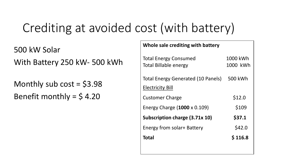## Crediting at avoided cost (with battery)

500 kW Solar With Battery 250 kW- 500 kWh

Monthly sub  $cost = $3.98$ Benefit monthly =  $$4.20$ 

| Whole sale crediting with battery                            |                      |
|--------------------------------------------------------------|----------------------|
| <b>Total Energy Consumed</b><br><b>Total Billable energy</b> | 1000 kWh<br>1000 kWh |
| <b>Total Energy Generated (10 Panels)</b>                    | 500 kWh              |
| <b>Electricity Bill</b>                                      |                      |
| <b>Customer Charge</b>                                       | \$12.0               |
| Energy Charge $(1000 \times 0.109)$                          | \$109                |
| Subscription charge (3.71x 10)                               | \$37.1               |
| Energy from solar+ Battery                                   | \$42.0               |
| Total                                                        | \$116.8              |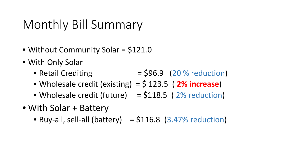### Monthly Bill Summary

- Without Community Solar = \$121.0
- With Only Solar
	- Retail Crediting  $= $96.9$  (20 % reduction)
	- Wholesale credit (existing) = \$ 123.5 ( **2% increase**)
	- Wholesale credit (future) = **\$**118.5 ( 2% reduction)
- With Solar + Battery
	- Buy-all, sell-all (battery) =  $$116.8$  (3.47% reduction)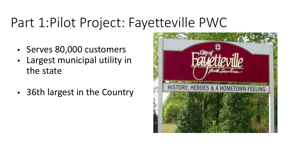# Part 1:Pilot Project: Fayetteville PWC

- Serves 80,000 customers
- Largest municipal utility in the state
- 36th largest in the Country

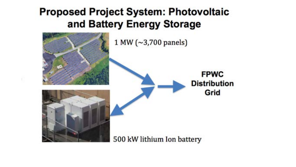#### **Proposed Project System: Photovoltaic** and Battery Energy Storage

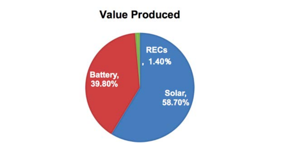# **Value Produced**

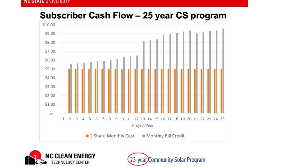#### **NC STATE UNIVERSITY**

#### Subscriber Cash Flow - 25 year CS program





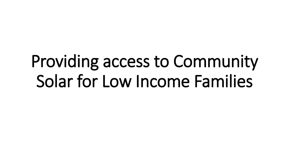# Providing access to Community Solar for Low Income Families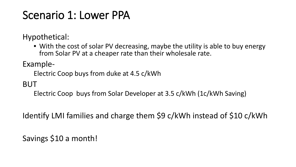#### Scenario 1: Lower PPA

Hypothetical:

• With the cost of solar PV decreasing, maybe the utility is able to buy energy from Solar PV at a cheaper rate than their wholesale rate.

Example-

Electric Coop buys from duke at 4.5 c/kWh

BUT

Electric Coop buys from Solar Developer at 3.5 c/kWh (1c/kWh Saving)

Identify LMI families and charge them \$9 c/kWh instead of \$10 c/kWh

Savings \$10 a month!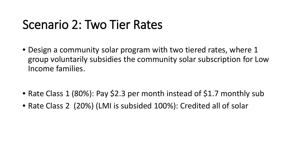## Scenario 2: Two Tier Rates

- Design a community solar program with two tiered rates, where 1 group voluntarily subsidies the community solar subscription for Low Income families.
- Rate Class 1 (80%): Pay \$2.3 per month instead of \$1.7 monthly sub
- Rate Class 2 (20%) (LMI is subsided 100%): Credited all of solar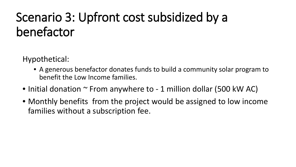# Scenario 3: Upfront cost subsidized by a benefactor

Hypothetical:

- A generous benefactor donates funds to build a community solar program to benefit the Low Income families.
- Initial donation  $\sim$  From anywhere to 1 million dollar (500 kW AC)
- Monthly benefits from the project would be assigned to low income families without a subscription fee.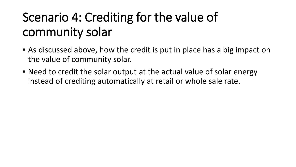# Scenario 4: Crediting for the value of community solar

- As discussed above, how the credit is put in place has a big impact on the value of community solar.
- Need to credit the solar output at the actual value of solar energy instead of crediting automatically at retail or whole sale rate.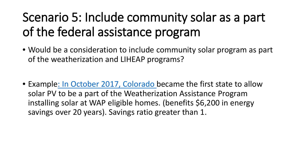# Scenario 5: Include community solar as a part of the federal assistance program

- Would be a consideration to include community solar program as part of the weatherization and LIHEAP programs?
- Exampl[e: In October 2017, Colorado b](https://energy.gov/eere/articles/colorado-becomes-first-state-install-solar-part-weatherization-assistance-program)ecame the first state to allow solar PV to be a part of the Weatherization Assistance Program installing solar at WAP eligible homes. (benefits \$6,200 in energy savings over 20 years). Savings ratio greater than 1.